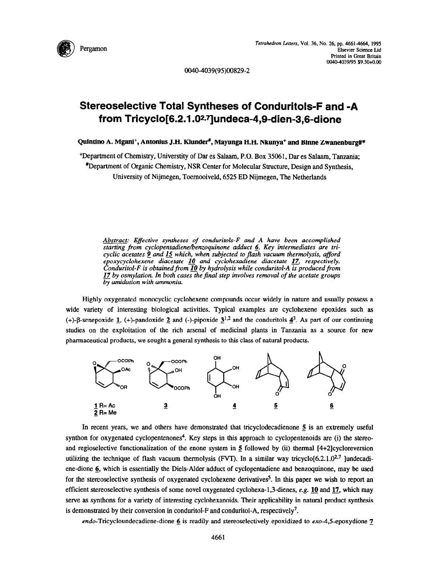

00404039(95)00829-2

## **Stereoselective Total Syntheses of Conduritols-F and -A**  from Tricyclo[6.2.1.0<sup>2,7</sup>]undeca-4,9-dien-3,6-dione

**Quintho A. MganP, Antonius J.H. Klundefl, Mayunga H.H. Nkunya+ and BiMe Zwanenburg#\*** 

+Department of Chemistry, Universtity of Dar es Salaam, P.O. Box 35061, Dar es Salaam, Tanzania;

Department of Organic Chemistry, NSR Center for Molecular Structure, Design and Synthesis, University of Nijmegen, Toemooiveld. 6525 ED Nijmegen, The Netherlands

*Abstract: Effective syntheses of conduritols-F and A have been accomplished*  starting from cyclopentadiene/benzoquinone adduct 6. Key intermediates are tri*cyclic acetates 9 and 15 which, when subjected* to *flash vacuum thermolysis, afford epoxycyclohexene diacetate 10 and cyclohexadiene diacetate 17, respectively. Conduritol-F is obtained* **from** *@ by hydrolysis while conduritol-A is produced from 17 by osmylation. In both cases the find step involves removal of the acetate groups by amidation with ammonia* 

Highly oxygenated monocyclic cyclohexene compounds occur widely in nature and usually possess a wide variety of interesting biological activities. Typical examples are cyclohexene epoxides such as (+)-B-senepoxide 1, (+)-pandoxide 2 and (-)-pipoxide  $3^{1,2}$  and the conduritols  $4^3$ . As part of our continuing studies on the exploitation of the rich arsenal of medicinal plants in Tanzania as a source for new pharmaceutical products, we sought a general synthesis to this class of natural products.



In recent years, we and others have demonstrated that tricyclodecadienone 5 is an extremely useful synthon for oxygenated cyclopentenones<sup>4</sup>. Key steps in this approach to cyclopentenoids are (i) the stereoand regiosclective functionalization of the enone system in  $5$  followed by (ii) thermal  $[4+2]$ cycloreversion utilizing the technique of flash vacuum thermolysis (FVT). In a similar way tricyclo[6.2.1.0<sup>2,7</sup> ]undecadiene-dione 6, which is essentially the Diels-Alder adduct of cyclopentadiene and benzoquinone, may be used for the stereoselective synthesis of oxygenated cyclohexene derivatives<sup>5</sup>. In this paper we wish to report an efficient stereoselective synthesis of some novel oxygenated cyclohexa-1,3-dienes, e.g. 10 and 17, which may serve as synthons for a variety of interesting cyclohexanoids. Their applicability in natural product synthesis is demonstrated by their conversion in conduritol-F and conduritol-A, respectively<sup>7</sup>.

 $endo$ -Tricycloundecadiene-dione 6 is readily and stereoselectively epoxidized to  $exo - 4.5$ -epoxydione 7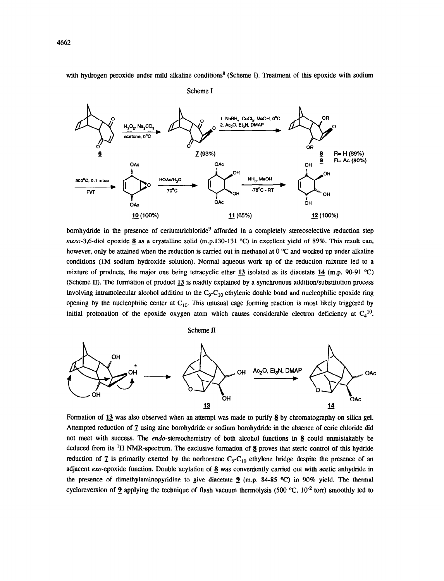with hydrogen peroxide under mild alkaline conditions<sup>8</sup> (Scheme I). Treatment of this epoxide with sodium

NaBH2, CeCl3, MeOH, 0°C  $Ac_2O$ ,  $Et_3N$ , DMAP H<sub>2</sub>O<sub>2</sub>, Na<sub>2</sub>CC acetone, 0°C  $O<sub>B</sub>$  $\underline{5}$   $\underline{7}$  (93%)  $\underline{8}$  R= H (89%)  $\overline{9}$  R= Ac (90%) **OAC OAc OH**  OН OН NH<sub>3</sub>, MeOH **soo**<sup>o</sup>C. 0.1 mb 70°C -78°C - R1 **FVT**  $\overline{O}$ Ac OAc OH **OA**c **B (100%) fl(65%) 12** (100%)

Scheme I

borohydride in the presence of ceriumtrichloride<sup>9</sup> afforded in a completely stereoselective reduction step meso-3,6-diol epoxide 8 as a crystalline solid (m.p.130-131 °C) in excellent yield of 89%. This result can, however, only be attained when the reduction is carried out in methanol at  $0^{\circ}$ C and worked up under alkaline conditions (1M sodium hydroxide solution). Normal aqueous work up of the reduction mixture led to a mixture of products, the major one being tetracyclic ether 13 isolated as its diacetate 14 (m.p. 90-91  $^{\circ}$ C) (Scheme If). The formation of product 13 is readily explained by a synchronous addition/substitution process involving intramolecular alcohol addition to the  $C_9$ - $C_{10}$  ethylenic double bond and nucleophilic epoxide ring opening by the nucleophilic center at  $C_{10}$ . This unusual cage forming reaction is most likely triggered by initial protonation of the epoxide oxygen atom which causes considerable electron deficiency at  $C_4^{10}$ .

Scheme II



Formation of 13 was also observed when an attempt was made to purify 6 by chromatography on silica gel. Attempted reduction of 2 using zinc borohydride or sodium borohydride in the absence of ceric chloride did not meet with success. The endo-stereochemistry of both alcohol functions in 8 could unmistakably be deduced from its <sup>1</sup>H NMR-spectrum. The exclusive formation of  $\delta$  proves that steric control of this hydride reduction of  $\overline{z}$  is primarily exerted by the norbornene C<sub>9</sub>-C<sub>10</sub> ethylene bridge despite the presence of an adjacent  $exo$ -epoxide function. Double acylation of  $8$  was conveniently carried out with acetic anhydride in the presence of dimethylaminopyridine to give diacetate 9 (m.p. 84-85  $^{\circ}$ C) in 90% yield. The thermal cycloreversion of 9 applying the technique of flash vacuum thermolysis (500 °C, 10<sup>-2</sup> torr) smoothly led to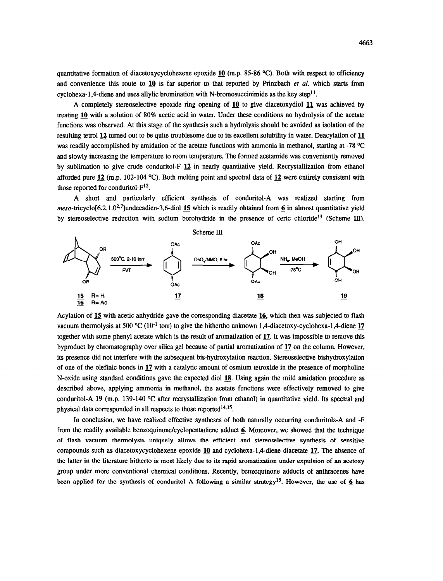quantitative formation of diacetoxycyclohexene epoxide 10 (m.p. 85-86  $^{\circ}$ C). Both with respect to efficiency and convenience this route to 10 is far superior to that reported by Prinzbach et al. which starts from cyclohexa-1,4-diene and uses allylic bromination with N-bromosuccinimide as the key step<sup>11</sup>.

A completely stereoselective epoxide ring opening of 10 to give diacetoxydiol 11 was achieved by treating 10 with a solution of 80% acetic acid in water. Under these conditions no hydrolysis of the acetate functions was observed. At this stage of the synthesis such a hydrolysis should be avoided as isolation of the resulting tetrol 12 turned out to be quite troublesome due to its excellent solubihty in water. Deacylation of 11 was readily accomplished by amidation of the acetate functions with ammonia in methanol, starting at -78 °C and slowly increasing the temperature to room temperature. The formed acetamide was conveniently removed by sublimation to give crude conduritol-F 12 in nearly quantitative yield. Recrystallization from ethanol afforded pure 12 (m.p. 102-104 °C). Both melting point and spectral data of 12 were entirely consistent with those reported for conduritol- $F^{12}$ .

A short and particularly efficient synthesis of conduritol-A was realized starting from  $meso-<sup>1</sup>trivclo[6.2.1.0<sup>2.7</sup>]$ undecadien-3,6-diol 15 which is readily obtained from 6 in almost quantitative yield by stereoselective reduction with sodium borohydride in the presence of ceric chloride<sup>13</sup> (Scheme III).



Acylation of 15 with acetic anhydride gave the corresponding diacetate 16, which then was subjected to flash vacuum thermolysis at 500 °C ( $10^{-1}$  torr) to give the hithertho unknown 1,4-diacetoxy-cyclohexa-1,4-diene 17 together with some phenyl acetate which is the result of aromatization of 12. It was impossible to remove this byproduct by chromatography over silica gel because of partial aromatization of 12 on the column. However, its presence did not interfere with the subsequent bis-hydroxylation reaction. Stereoselective bishydroxylation of one of the olefinic bonds in 17 with a catalytic amount of osmium tetroxide in the presence of morpholine N-oxide using standard conditions gave the expected diol 18. Using again the mild amidation procedure as described above, applying ammonia in methanol, the acetate functions were effectively removed to give conduritol-A 19 (m.p. 139-140  $\degree$ C after recrystallization from ethanol) in quantitative yield. Its spectral and physical data corresponded in all respects to those reported $14,15$ .

In conclusion, we have realized effective syntheses of both naturally occurring conduritols-A and -F from the readily available benzoquinone/cyclopentadiene adduct 6. Moreover, we showed that the technique of flash vacuum thermolysis uniquely allows the efficient and stereoselective synthesis of sensitive compounds such as diacetoxycyclohexene epoxide 10 and cyclohexa-1,4-diene diacetate 17. The absence of the latter in the literature hitherto is most likely due to its rapid aromatization under expulsion of an acetoxy group under more conventional chemical conditions. Recently, benzoquinone adducts of anthracenes have been applied for the synthesis of conduritol A following a similar strategy<sup>15</sup>. However, the use of 6 has